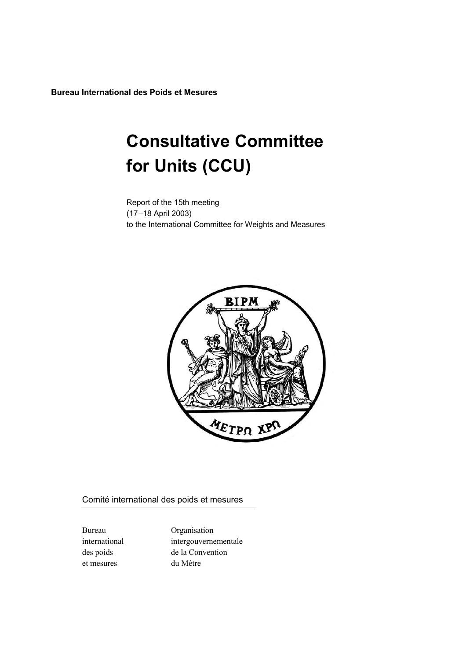**Bureau International des Poids et Mesures**

# **Consultative Committee for Units (CCU)**

Report of the 15th meeting (17–18 April 2003) to the International Committee for Weights and Measures



Comité international des poids et mesures

et mesures du Mètre

Bureau Organisation international intergouvernementale des poids de la Convention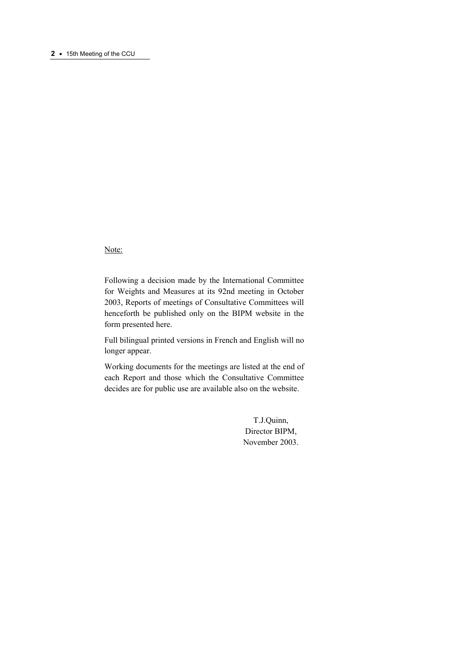Note:

Following a decision made by the International Committee for Weights and Measures at its 92nd meeting in October 2003, Reports of meetings of Consultative Committees will henceforth be published only on the BIPM website in the form presented here.

Full bilingual printed versions in French and English will no longer appear.

Working documents for the meetings are listed at the end of each Report and those which the Consultative Committee decides are for public use are available also on the website.

> T.J.Quinn, Director BIPM, November 2003.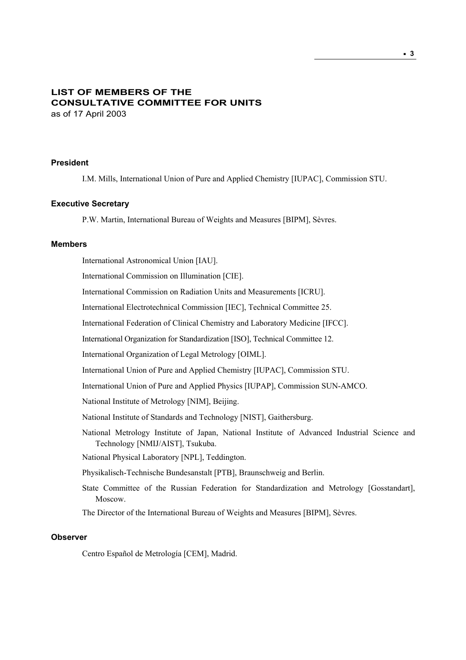# **LIST OF MEMBERS OF THE CONSULTATIVE COMMITTEE FOR UNITS** as of 17 April 2003

#### **President**

I.M. Mills, International Union of Pure and Applied Chemistry [IUPAC], Commission STU.

# **Executive Secretary**

P.W. Martin, International Bureau of Weights and Measures [BIPM], Sèvres.

# **Members**

International Astronomical Union [IAU]. International Commission on Illumination [CIE]. International Commission on Radiation Units and Measurements [ICRU]. International Electrotechnical Commission [IEC], Technical Committee 25. International Federation of Clinical Chemistry and Laboratory Medicine [IFCC]. International Organization for Standardization [ISO], Technical Committee 12. International Organization of Legal Metrology [OIML]. International Union of Pure and Applied Chemistry [IUPAC], Commission STU. International Union of Pure and Applied Physics [IUPAP], Commission SUN-AMCO. National Institute of Metrology [NIM], Beijing. National Institute of Standards and Technology [NIST], Gaithersburg. National Metrology Institute of Japan, National Institute of Advanced Industrial Science and Technology [NMIJ/AIST], Tsukuba. National Physical Laboratory [NPL], Teddington. Physikalisch-Technische Bundesanstalt [PTB], Braunschweig and Berlin. State Committee of the Russian Federation for Standardization and Metrology [Gosstandart], Moscow. The Director of the International Bureau of Weights and Measures [BIPM], Sèvres.

# **Observer**

Centro Español de Metrología [CEM], Madrid.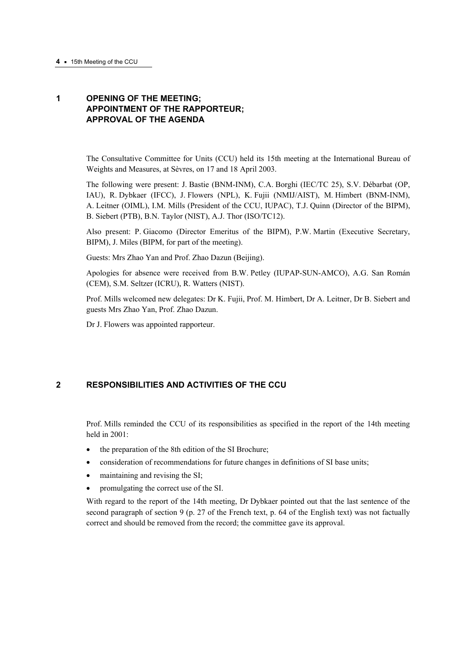# **1 OPENING OF THE MEETING; APPOINTMENT OF THE RAPPORTEUR; APPROVAL OF THE AGENDA**

The Consultative Committee for Units (CCU) held its 15th meeting at the International Bureau of Weights and Measures, at Sèvres, on 17 and 18 April 2003.

The following were present: J. Bastie (BNM-INM), C.A. Borghi (IEC/TC 25), S.V. Débarbat (OP, IAU), R. Dybkaer (IFCC), J. Flowers (NPL), K. Fujii (NMIJ/AIST), M. Himbert (BNM-INM), A. Leitner (OIML), I.M. Mills (President of the CCU, IUPAC), T.J. Quinn (Director of the BIPM), B. Siebert (PTB), B.N. Taylor (NIST), A.J. Thor (ISO/TC12).

Also present: P. Giacomo (Director Emeritus of the BIPM), P.W. Martin (Executive Secretary, BIPM), J. Miles (BIPM, for part of the meeting).

Guests: Mrs Zhao Yan and Prof. Zhao Dazun (Beijing).

Apologies for absence were received from B.W. Petley (IUPAP-SUN-AMCO), A.G. San Román (CEM), S.M. Seltzer (ICRU), R. Watters (NIST).

Prof. Mills welcomed new delegates: Dr K. Fujii, Prof. M. Himbert, Dr A. Leitner, Dr B. Siebert and guests Mrs Zhao Yan, Prof. Zhao Dazun.

Dr J. Flowers was appointed rapporteur.

# **2 RESPONSIBILITIES AND ACTIVITIES OF THE CCU**

Prof. Mills reminded the CCU of its responsibilities as specified in the report of the 14th meeting held in 2001:

- the preparation of the 8th edition of the SI Brochure;
- consideration of recommendations for future changes in definitions of SI base units;
- maintaining and revising the SI;
- promulgating the correct use of the SI.

With regard to the report of the 14th meeting, Dr Dybkaer pointed out that the last sentence of the second paragraph of section 9 (p. 27 of the French text, p. 64 of the English text) was not factually correct and should be removed from the record; the committee gave its approval.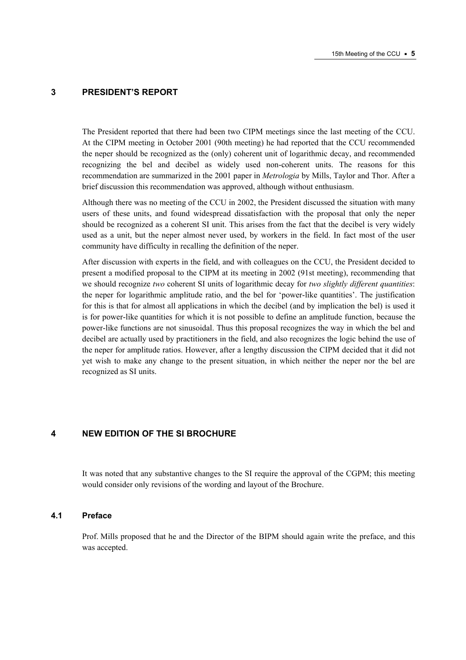# **3 PRESIDENT'S REPORT**

The President reported that there had been two CIPM meetings since the last meeting of the CCU. At the CIPM meeting in October 2001 (90th meeting) he had reported that the CCU recommended the neper should be recognized as the (only) coherent unit of logarithmic decay, and recommended recognizing the bel and decibel as widely used non-coherent units. The reasons for this recommendation are summarized in the 2001 paper in *Metrologia* by Mills, Taylor and Thor. After a brief discussion this recommendation was approved, although without enthusiasm.

Although there was no meeting of the CCU in 2002, the President discussed the situation with many users of these units, and found widespread dissatisfaction with the proposal that only the neper should be recognized as a coherent SI unit. This arises from the fact that the decibel is very widely used as a unit, but the neper almost never used, by workers in the field. In fact most of the user community have difficulty in recalling the definition of the neper.

After discussion with experts in the field, and with colleagues on the CCU, the President decided to present a modified proposal to the CIPM at its meeting in 2002 (91st meeting), recommending that we should recognize *two* coherent SI units of logarithmic decay for *two slightly different quantities*: the neper for logarithmic amplitude ratio, and the bel for 'power-like quantities'. The justification for this is that for almost all applications in which the decibel (and by implication the bel) is used it is for power-like quantities for which it is not possible to define an amplitude function, because the power-like functions are not sinusoidal. Thus this proposal recognizes the way in which the bel and decibel are actually used by practitioners in the field, and also recognizes the logic behind the use of the neper for amplitude ratios. However, after a lengthy discussion the CIPM decided that it did not yet wish to make any change to the present situation, in which neither the neper nor the bel are recognized as SI units.

# **4 NEW EDITION OF THE SI BROCHURE**

It was noted that any substantive changes to the SI require the approval of the CGPM; this meeting would consider only revisions of the wording and layout of the Brochure.

#### **4.1 Preface**

Prof. Mills proposed that he and the Director of the BIPM should again write the preface, and this was accepted.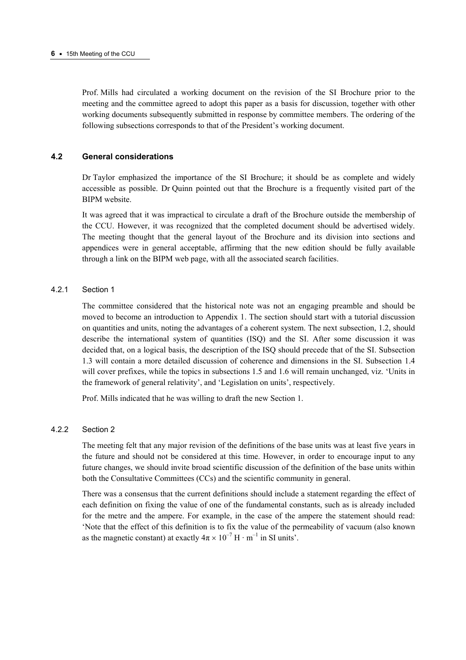Prof. Mills had circulated a working document on the revision of the SI Brochure prior to the meeting and the committee agreed to adopt this paper as a basis for discussion, together with other working documents subsequently submitted in response by committee members. The ordering of the following subsections corresponds to that of the President's working document.

#### **4.2 General considerations**

Dr Taylor emphasized the importance of the SI Brochure; it should be as complete and widely accessible as possible. Dr Quinn pointed out that the Brochure is a frequently visited part of the BIPM website.

It was agreed that it was impractical to circulate a draft of the Brochure outside the membership of the CCU. However, it was recognized that the completed document should be advertised widely. The meeting thought that the general layout of the Brochure and its division into sections and appendices were in general acceptable, affirming that the new edition should be fully available through a link on the BIPM web page, with all the associated search facilities.

# 4.2.1 Section 1

The committee considered that the historical note was not an engaging preamble and should be moved to become an introduction to Appendix 1. The section should start with a tutorial discussion on quantities and units, noting the advantages of a coherent system. The next subsection, 1.2, should describe the international system of quantities (ISQ) and the SI. After some discussion it was decided that, on a logical basis, the description of the ISQ should precede that of the SI. Subsection 1.3 will contain a more detailed discussion of coherence and dimensions in the SI. Subsection 1.4 will cover prefixes, while the topics in subsections 1.5 and 1.6 will remain unchanged, viz. 'Units in the framework of general relativity', and 'Legislation on units', respectively.

Prof. Mills indicated that he was willing to draft the new Section 1.

#### 4.2.2 Section 2

The meeting felt that any major revision of the definitions of the base units was at least five years in the future and should not be considered at this time. However, in order to encourage input to any future changes, we should invite broad scientific discussion of the definition of the base units within both the Consultative Committees (CCs) and the scientific community in general.

There was a consensus that the current definitions should include a statement regarding the effect of each definition on fixing the value of one of the fundamental constants, such as is already included for the metre and the ampere. For example, in the case of the ampere the statement should read: 'Note that the effect of this definition is to fix the value of the permeability of vacuum (also known as the magnetic constant) at exactly  $4\pi \times 10^{-7}$  H · m<sup>-1</sup> in SI units'.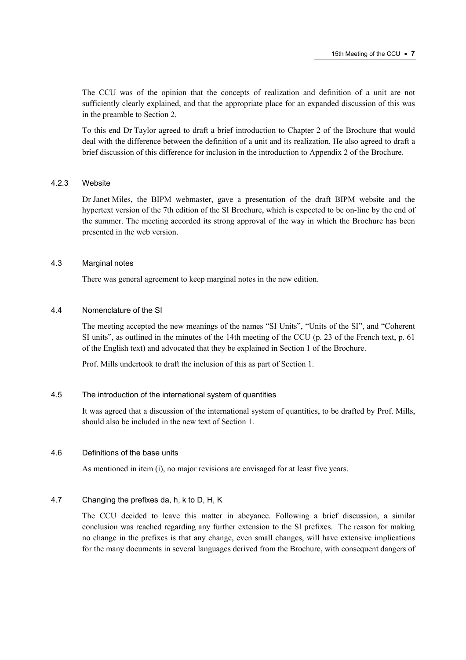The CCU was of the opinion that the concepts of realization and definition of a unit are not sufficiently clearly explained, and that the appropriate place for an expanded discussion of this was in the preamble to Section 2.

To this end Dr Taylor agreed to draft a brief introduction to Chapter 2 of the Brochure that would deal with the difference between the definition of a unit and its realization. He also agreed to draft a brief discussion of this difference for inclusion in the introduction to Appendix 2 of the Brochure.

# 4.2.3 Website

Dr Janet Miles, the BIPM webmaster, gave a presentation of the draft BIPM website and the hypertext version of the 7th edition of the SI Brochure, which is expected to be on-line by the end of the summer. The meeting accorded its strong approval of the way in which the Brochure has been presented in the web version.

# 4.3 Marginal notes

There was general agreement to keep marginal notes in the new edition.

# 4.4 Nomenclature of the SI

The meeting accepted the new meanings of the names "SI Units", "Units of the SI", and "Coherent SI units", as outlined in the minutes of the 14th meeting of the CCU (p. 23 of the French text, p. 61 of the English text) and advocated that they be explained in Section 1 of the Brochure.

Prof. Mills undertook to draft the inclusion of this as part of Section 1.

#### 4.5 The introduction of the international system of quantities

It was agreed that a discussion of the international system of quantities, to be drafted by Prof. Mills, should also be included in the new text of Section 1.

# 4.6 Definitions of the base units

As mentioned in item (i), no major revisions are envisaged for at least five years.

# 4.7 Changing the prefixes da, h, k to D, H, K

The CCU decided to leave this matter in abeyance. Following a brief discussion, a similar conclusion was reached regarding any further extension to the SI prefixes. The reason for making no change in the prefixes is that any change, even small changes, will have extensive implications for the many documents in several languages derived from the Brochure, with consequent dangers of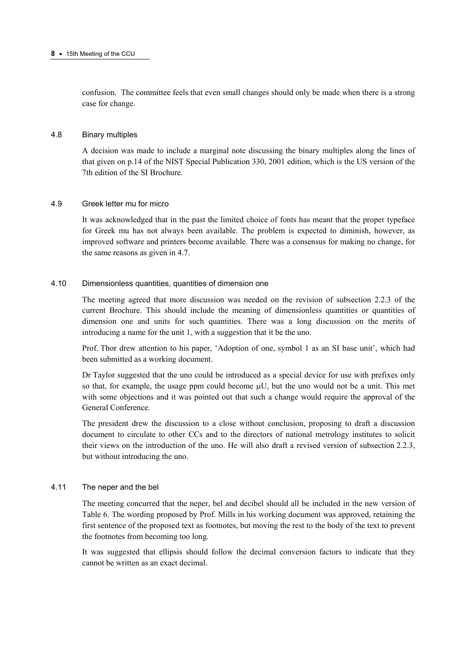confusion. The committee feels that even small changes should only be made when there is a strong case for change.

#### 4.8 Binary multiples

A decision was made to include a marginal note discussing the binary multiples along the lines of that given on p.14 of the NIST Special Publication 330, 2001 edition, which is the US version of the 7th edition of the SI Brochure.

# 4.9 Greek letter mu for micro

It was acknowledged that in the past the limited choice of fonts has meant that the proper typeface for Greek mu has not always been available. The problem is expected to diminish, however, as improved software and printers become available. There was a consensus for making no change, for the same reasons as given in 4.7.

# 4.10 Dimensionless quantities, quantities of dimension one

The meeting agreed that more discussion was needed on the revision of subsection 2.2.3 of the current Brochure. This should include the meaning of dimensionless quantities or quantities of dimension one and units for such quantities. There was a long discussion on the merits of introducing a name for the unit 1, with a suggestion that it be the uno.

Prof. Thor drew attention to his paper, 'Adoption of one, symbol 1 as an SI base unit', which had been submitted as a working document.

Dr Taylor suggested that the uno could be introduced as a special device for use with prefixes only so that, for example, the usage ppm could become  $\mu$ U, but the uno would not be a unit. This met with some objections and it was pointed out that such a change would require the approval of the General Conference.

The president drew the discussion to a close without conclusion, proposing to draft a discussion document to circulate to other CCs and to the directors of national metrology institutes to solicit their views on the introduction of the uno. He will also draft a revised version of subsection 2.2.3, but without introducing the uno.

# 4.11 The neper and the bel

The meeting concurred that the neper, bel and decibel should all be included in the new version of Table 6. The wording proposed by Prof. Mills in his working document was approved, retaining the first sentence of the proposed text as footnotes, but moving the rest to the body of the text to prevent the footnotes from becoming too long.

It was suggested that ellipsis should follow the decimal conversion factors to indicate that they cannot be written as an exact decimal.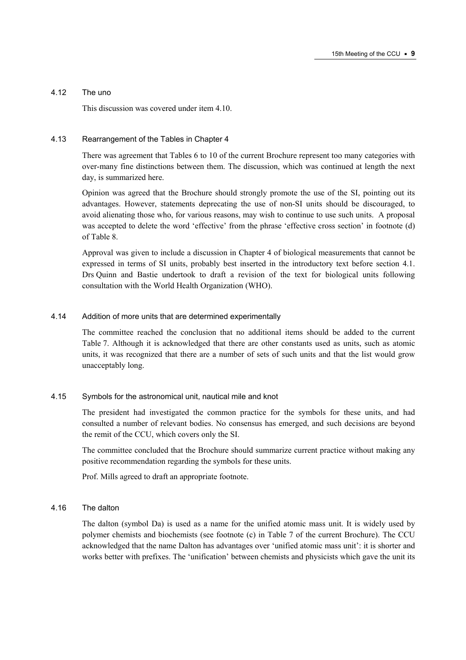# 4.12 The uno

This discussion was covered under item 4.10.

# 4.13 Rearrangement of the Tables in Chapter 4

There was agreement that Tables 6 to 10 of the current Brochure represent too many categories with over-many fine distinctions between them. The discussion, which was continued at length the next day, is summarized here.

Opinion was agreed that the Brochure should strongly promote the use of the SI, pointing out its advantages. However, statements deprecating the use of non-SI units should be discouraged, to avoid alienating those who, for various reasons, may wish to continue to use such units. A proposal was accepted to delete the word 'effective' from the phrase 'effective cross section' in footnote (d) of Table 8.

Approval was given to include a discussion in Chapter 4 of biological measurements that cannot be expressed in terms of SI units, probably best inserted in the introductory text before section 4.1. Drs Quinn and Bastie undertook to draft a revision of the text for biological units following consultation with the World Health Organization (WHO).

# 4.14 Addition of more units that are determined experimentally

The committee reached the conclusion that no additional items should be added to the current Table 7. Although it is acknowledged that there are other constants used as units, such as atomic units, it was recognized that there are a number of sets of such units and that the list would grow unacceptably long.

#### 4.15 Symbols for the astronomical unit, nautical mile and knot

The president had investigated the common practice for the symbols for these units, and had consulted a number of relevant bodies. No consensus has emerged, and such decisions are beyond the remit of the CCU, which covers only the SI.

The committee concluded that the Brochure should summarize current practice without making any positive recommendation regarding the symbols for these units.

Prof. Mills agreed to draft an appropriate footnote.

#### 4.16 The dalton

The dalton (symbol Da) is used as a name for the unified atomic mass unit. It is widely used by polymer chemists and biochemists (see footnote (c) in Table 7 of the current Brochure). The CCU acknowledged that the name Dalton has advantages over 'unified atomic mass unit': it is shorter and works better with prefixes. The 'unification' between chemists and physicists which gave the unit its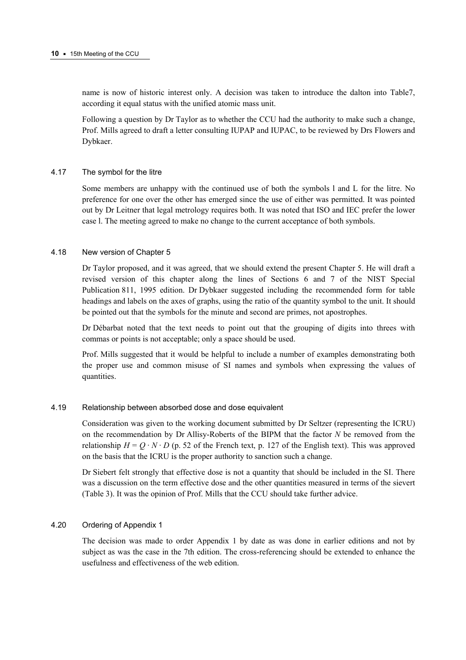name is now of historic interest only. A decision was taken to introduce the dalton into Table7, according it equal status with the unified atomic mass unit.

Following a question by Dr Taylor as to whether the CCU had the authority to make such a change, Prof. Mills agreed to draft a letter consulting IUPAP and IUPAC, to be reviewed by Drs Flowers and Dybkaer.

# 4.17 The symbol for the litre

Some members are unhappy with the continued use of both the symbols l and L for the litre. No preference for one over the other has emerged since the use of either was permitted. It was pointed out by Dr Leitner that legal metrology requires both. It was noted that ISO and IEC prefer the lower case l. The meeting agreed to make no change to the current acceptance of both symbols.

# 4.18 New version of Chapter 5

Dr Taylor proposed, and it was agreed, that we should extend the present Chapter 5. He will draft a revised version of this chapter along the lines of Sections 6 and 7 of the NIST Special Publication 811, 1995 edition. Dr Dybkaer suggested including the recommended form for table headings and labels on the axes of graphs, using the ratio of the quantity symbol to the unit. It should be pointed out that the symbols for the minute and second are primes, not apostrophes.

Dr Débarbat noted that the text needs to point out that the grouping of digits into threes with commas or points is not acceptable; only a space should be used.

Prof. Mills suggested that it would be helpful to include a number of examples demonstrating both the proper use and common misuse of SI names and symbols when expressing the values of quantities.

# 4.19 Relationship between absorbed dose and dose equivalent

Consideration was given to the working document submitted by Dr Seltzer (representing the ICRU) on the recommendation by Dr Allisy-Roberts of the BIPM that the factor *N* be removed from the relationship  $H = Q \cdot N \cdot D$  (p. 52 of the French text, p. 127 of the English text). This was approved on the basis that the ICRU is the proper authority to sanction such a change.

Dr Siebert felt strongly that effective dose is not a quantity that should be included in the SI. There was a discussion on the term effective dose and the other quantities measured in terms of the sievert (Table 3). It was the opinion of Prof. Mills that the CCU should take further advice.

#### 4.20 Ordering of Appendix 1

The decision was made to order Appendix 1 by date as was done in earlier editions and not by subject as was the case in the 7th edition. The cross-referencing should be extended to enhance the usefulness and effectiveness of the web edition.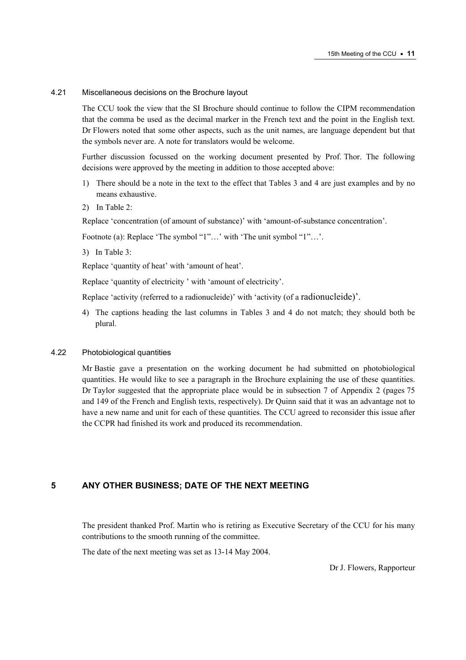#### 4.21 Miscellaneous decisions on the Brochure layout

The CCU took the view that the SI Brochure should continue to follow the CIPM recommendation that the comma be used as the decimal marker in the French text and the point in the English text. Dr Flowers noted that some other aspects, such as the unit names, are language dependent but that the symbols never are. A note for translators would be welcome.

Further discussion focussed on the working document presented by Prof. Thor. The following decisions were approved by the meeting in addition to those accepted above:

- 1) There should be a note in the text to the effect that Tables 3 and 4 are just examples and by no means exhaustive.
- 2) In Table 2:

Replace 'concentration (of amount of substance)' with 'amount-of-substance concentration'.

Footnote (a): Replace 'The symbol "1"...' with 'The unit symbol "1"...'.

3) In Table 3:

Replace 'quantity of heat' with 'amount of heat'.

Replace 'quantity of electricity ' with 'amount of electricity'.

Replace 'activity (referred to a radionucleide)' with 'activity (of a radionucleide)'.

4) The captions heading the last columns in Tables 3 and 4 do not match; they should both be plural.

#### 4.22 Photobiological quantities

Mr Bastie gave a presentation on the working document he had submitted on photobiological quantities. He would like to see a paragraph in the Brochure explaining the use of these quantities. Dr Taylor suggested that the appropriate place would be in subsection 7 of Appendix 2 (pages 75 and 149 of the French and English texts, respectively). Dr Quinn said that it was an advantage not to have a new name and unit for each of these quantities. The CCU agreed to reconsider this issue after the CCPR had finished its work and produced its recommendation.

# **5 ANY OTHER BUSINESS; DATE OF THE NEXT MEETING**

The president thanked Prof. Martin who is retiring as Executive Secretary of the CCU for his many contributions to the smooth running of the committee.

The date of the next meeting was set as 13-14 May 2004.

Dr J. Flowers, Rapporteur